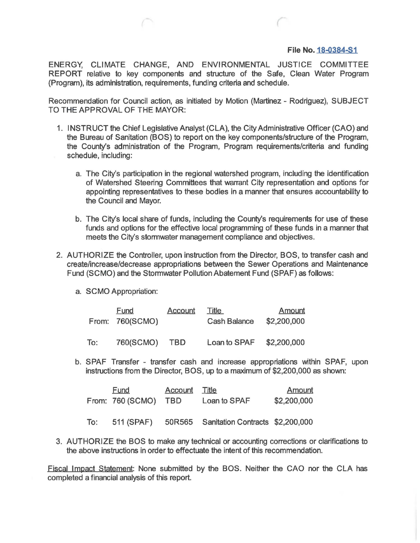## **File No. 18-0384-51**

ENERGY, CLIMATE CHANGE, AND ENVIRONMENTAL JUSTICE COMMITTEE REPORT relative to key components and structure of the Safe, Clean Water Program (Program), its administration, requirements, funding criteria and schedule.

Recommendation for Council action, as initiated by Motion (Martinez- Rodriguez), SUBJECT TO THE APPROVAL OF THE MAYOR:

- 1. INSTRUCT the Chief Legislative Analyst (CLA), the City Administrative Officer (CAO) and the Bureau of Sanitation (BOS) to report on the key components/structure of the Program, the County's administration of the Program, Program requirements/criteria and funding schedule, including:
	- a. The City's participation in the regional watershed program, including the identification of Watershed Steering Committees that warrant City representation and options for appointing representatives to these bodies in a manner that ensures accountability to the Council and Mayor.
	- b. The City's local share of funds, including the County's requirements for use of these funds and options for the effective local programming of these funds in a manner that meets the City's stormwater management compliance and objectives.
- 2. AUTHORIZE the Controller, upon instruction from the Director, BOS, to transfer cash and create/increase/decrease appropriations between the Sewer Operations and Maintenance Fund (SCMO) and the Stormwater Pollution Abatement Fund (SPAF) as follows:
	- a. SCMO Appropriation:

|     | Fund<br>From: 760(SCMO) | Account | Title<br><b>Cash Balance</b> | <b>Amount</b><br>\$2,200,000 |
|-----|-------------------------|---------|------------------------------|------------------------------|
| To: | 760(SCMO)               | TBD     | Loan to SPAF \$2,200,000     |                              |

b. SPAF Transfer - transfer cash and increase appropriations within SPAF, upon instructions from the Director, BOS, up to a maximum of \$2,200,000 as shown:

|     | Fund<br>From: 760 (SCMO) | <b>Account</b> Title<br><b>TBD</b> | Loan to SPAF                     | Amount<br>\$2,200,000 |
|-----|--------------------------|------------------------------------|----------------------------------|-----------------------|
| To: | 511 (SPAF)               | 50R565                             | Sanitation Contracts \$2,200,000 |                       |

3. AUTHORIZE the BOS to make any technical or accounting corrections or clarifications to the above instructions in order to effectuate the intent of this recommendation.

Fiscal Impact Statement: None submitted by the BOS. Neither the CAO nor the CLA has completed a financial analysis of this report.